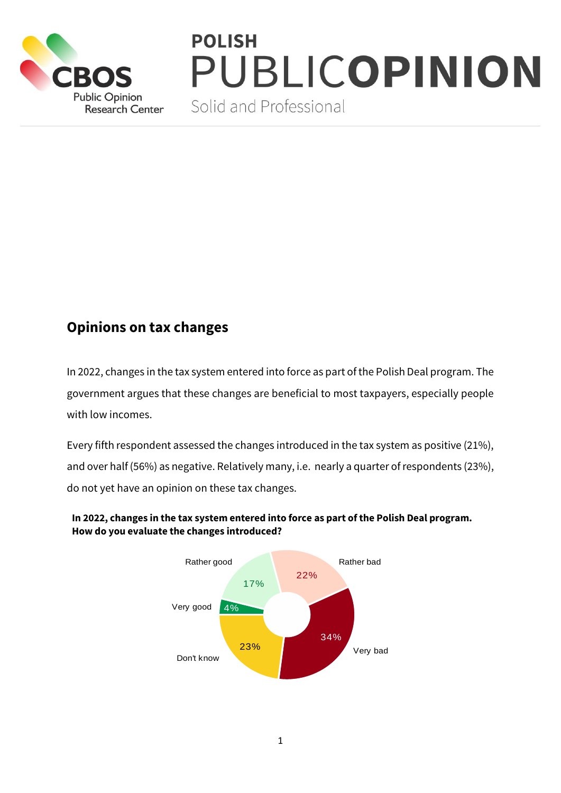

# **POLISH** PUBLICOPINION

Solid and Professional

## **Opinions on tax changes**

In 2022, changes in the tax system entered into force as part of the Polish Deal program. The government argues that these changes are beneficial to most taxpayers, especially people with low incomes.

Every fifth respondent assessed the changes introduced in the tax system as positive (21%), and over half (56%) as negative. Relatively many, i.e. nearly a quarter of respondents (23%), do not yet have an opinion on these tax changes.



#### **In 2022, changes in the tax system entered into force as part of the Polish Deal program. How do you evaluate the changes introduced?**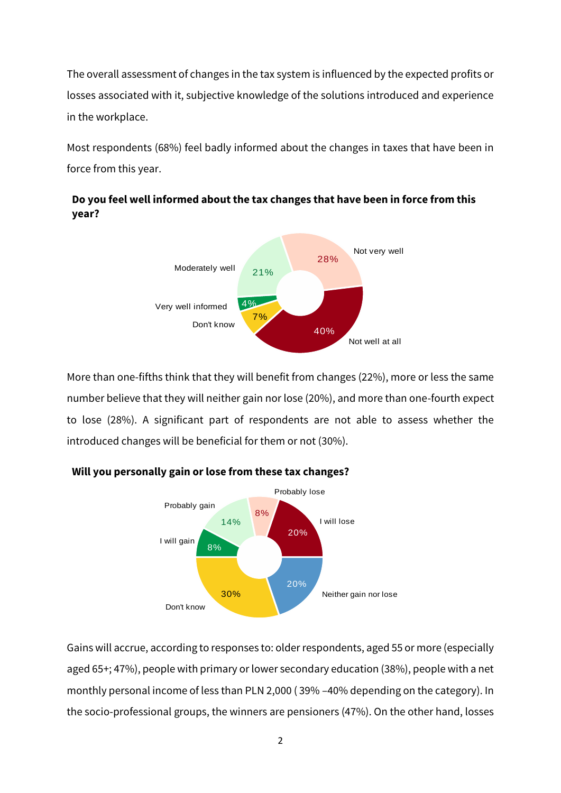The overall assessment of changes in the tax system is influenced by the expected profits or losses associated with it, subjective knowledge of the solutions introduced and experience in the workplace.

Most respondents (68%) feel badly informed about the changes in taxes that have been in force from this year.

### **Do you feel well informed about the tax changes that have been in force from this year?**



More than one-fifths think that they will benefit from changes (22%), more or less the same number believe that they will neither gain nor lose (20%), and more than one-fourth expect to lose (28%). A significant part of respondents are not able to assess whether the introduced changes will be beneficial for them or not (30%).



#### **Will you personally gain or lose from these tax changes?**

Gains will accrue, according to responses to: older respondents, aged 55 or more (especially aged 65+; 47%), people with primary or lower secondary education (38%), people with a net monthly personal income of less than PLN 2,000 ( 39% –40% depending on the category). In the socio-professional groups, the winners are pensioners (47%). On the other hand, losses